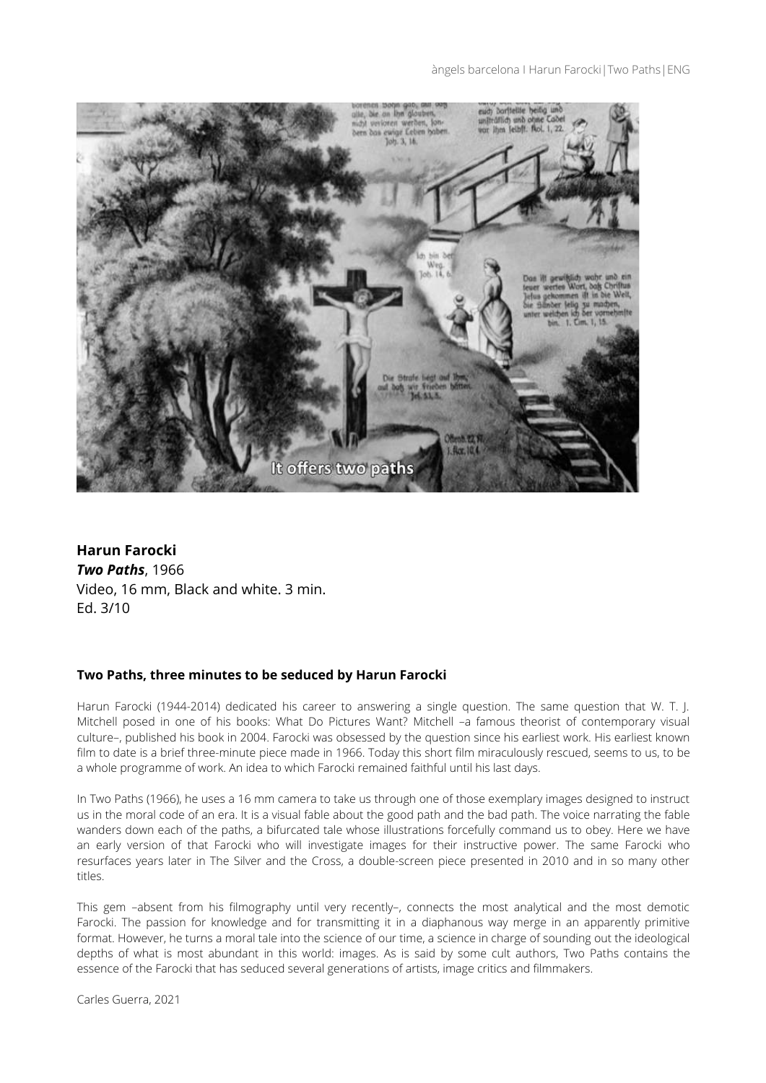

**Harun Farocki** *Two Paths*, 1966 Video, 16 mm, Black and white. 3 min. Ed. 3/10

# **Two Paths, three minutes to be seduced by Harun Farocki**

Harun Farocki (1944-2014) dedicated his career to answering a single question. The same question that W. T. J. Mitchell posed in one of his books: What Do Pictures Want? Mitchell –a famous theorist of contemporary visual culture–, published his book in 2004. Farocki was obsessed by the question since his earliest work. His earliest known film to date is a brief three-minute piece made in 1966. Today this short film miraculously rescued, seems to us, to be a whole programme of work. An idea to which Farocki remained faithful until his last days.

In Two Paths (1966), he uses a 16 mm camera to take us through one of those exemplary images designed to instruct us in the moral code of an era. It is a visual fable about the good path and the bad path. The voice narrating the fable wanders down each of the paths, a bifurcated tale whose illustrations forcefully command us to obey. Here we have an early version of that Farocki who will investigate images for their instructive power. The same Farocki who resurfaces years later in The Silver and the Cross, a double-screen piece presented in 2010 and in so many other titles.

This gem –absent from his filmography until very recently–, connects the most analytical and the most demotic Farocki. The passion for knowledge and for transmitting it in a diaphanous way merge in an apparently primitive format. However, he turns a moral tale into the science of our time, a science in charge of sounding out the ideological depths of what is most abundant in this world: images. As is said by some cult authors, Two Paths contains the essence of the Farocki that has seduced several generations of artists, image critics and filmmakers.

Carles Guerra, 2021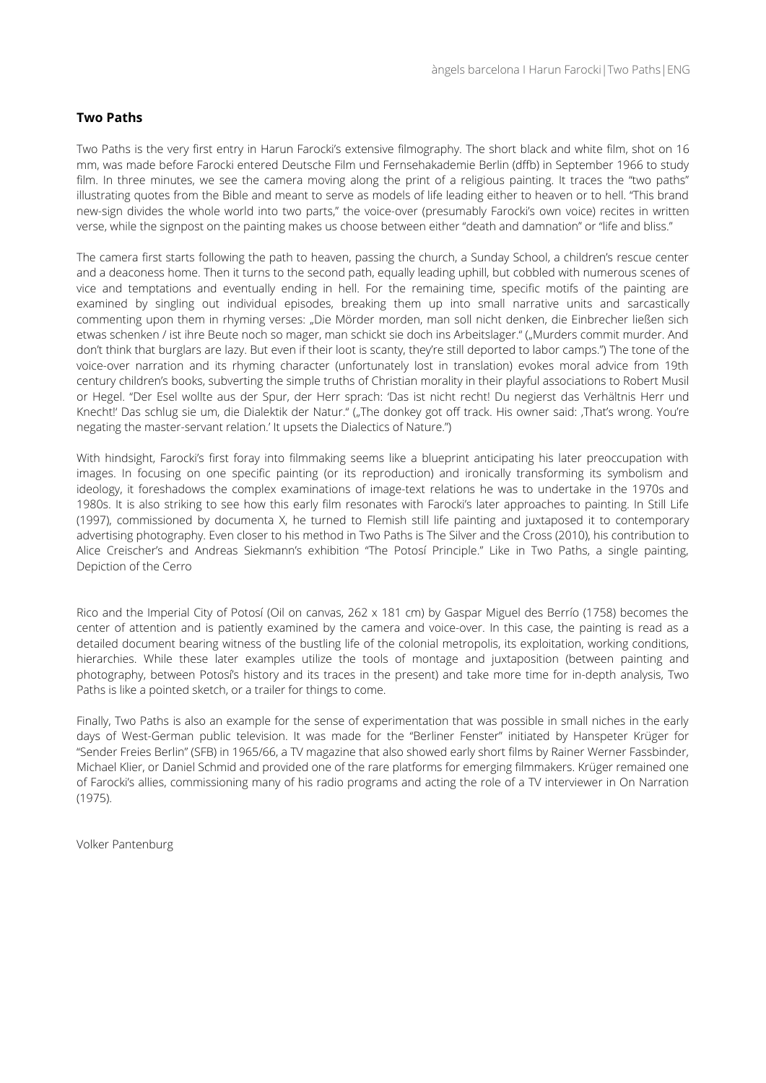## **Two Paths**

Two Paths is the very first entry in Harun Farocki's extensive filmography. The short black and white film, shot on 16 mm, was made before Farocki entered Deutsche Film und Fernsehakademie Berlin (dffb) in September 1966 to study film. In three minutes, we see the camera moving along the print of a religious painting. It traces the "two paths" illustrating quotes from the Bible and meant to serve as models of life leading either to heaven or to hell. "This brand new-sign divides the whole world into two parts," the voice-over (presumably Farocki's own voice) recites in written verse, while the signpost on the painting makes us choose between either "death and damnation" or "life and bliss."

The camera first starts following the path to heaven, passing the church, a Sunday School, a children's rescue center and a deaconess home. Then it turns to the second path, equally leading uphill, but cobbled with numerous scenes of vice and temptations and eventually ending in hell. For the remaining time, specific motifs of the painting are examined by singling out individual episodes, breaking them up into small narrative units and sarcastically commenting upon them in rhyming verses: "Die Mörder morden, man soll nicht denken, die Einbrecher ließen sich etwas schenken / ist ihre Beute noch so mager, man schickt sie doch ins Arbeitslager." ("Murders commit murder. And don't think that burglars are lazy. But even if their loot is scanty, they're still deported to labor camps.") The tone of the voice-over narration and its rhyming character (unfortunately lost in translation) evokes moral advice from 19th century children's books, subverting the simple truths of Christian morality in their playful associations to Robert Musil or Hegel. "Der Esel wollte aus der Spur, der Herr sprach: 'Das ist nicht recht! Du negierst das Verhältnis Herr und Knecht!' Das schlug sie um, die Dialektik der Natur." ("The donkey got off track. His owner said: 'That's wrong. You're negating the master-servant relation.' It upsets the Dialectics of Nature.")

With hindsight, Farocki's first foray into filmmaking seems like a blueprint anticipating his later preoccupation with images. In focusing on one specific painting (or its reproduction) and ironically transforming its symbolism and ideology, it foreshadows the complex examinations of image-text relations he was to undertake in the 1970s and 1980s. It is also striking to see how this early film resonates with Farocki's later approaches to painting. In Still Life (1997), commissioned by documenta X, he turned to Flemish still life painting and juxtaposed it to contemporary advertising photography. Even closer to his method in Two Paths is The Silver and the Cross (2010), his contribution to Alice Creischer's and Andreas Siekmann's exhibition "The Potosí Principle." Like in Two Paths, a single painting, Depiction of the Cerro

Rico and the Imperial City of Potosí (Oil on canvas, 262 x 181 cm) by Gaspar Miguel des Berrío (1758) becomes the center of attention and is patiently examined by the camera and voice-over. In this case, the painting is read as a detailed document bearing witness of the bustling life of the colonial metropolis, its exploitation, working conditions, hierarchies. While these later examples utilize the tools of montage and juxtaposition (between painting and photography, between Potosí's history and its traces in the present) and take more time for in-depth analysis, Two Paths is like a pointed sketch, or a trailer for things to come.

Finally, Two Paths is also an example for the sense of experimentation that was possible in small niches in the early days of West-German public television. It was made for the "Berliner Fenster" initiated by Hanspeter Krüger for "Sender Freies Berlin" (SFB) in 1965/66, a TV magazine that also showed early short films by Rainer Werner Fassbinder, Michael Klier, or Daniel Schmid and provided one of the rare platforms for emerging filmmakers. Krüger remained one of Farocki's allies, commissioning many of his radio programs and acting the role of a TV interviewer in On Narration (1975).

Volker Pantenburg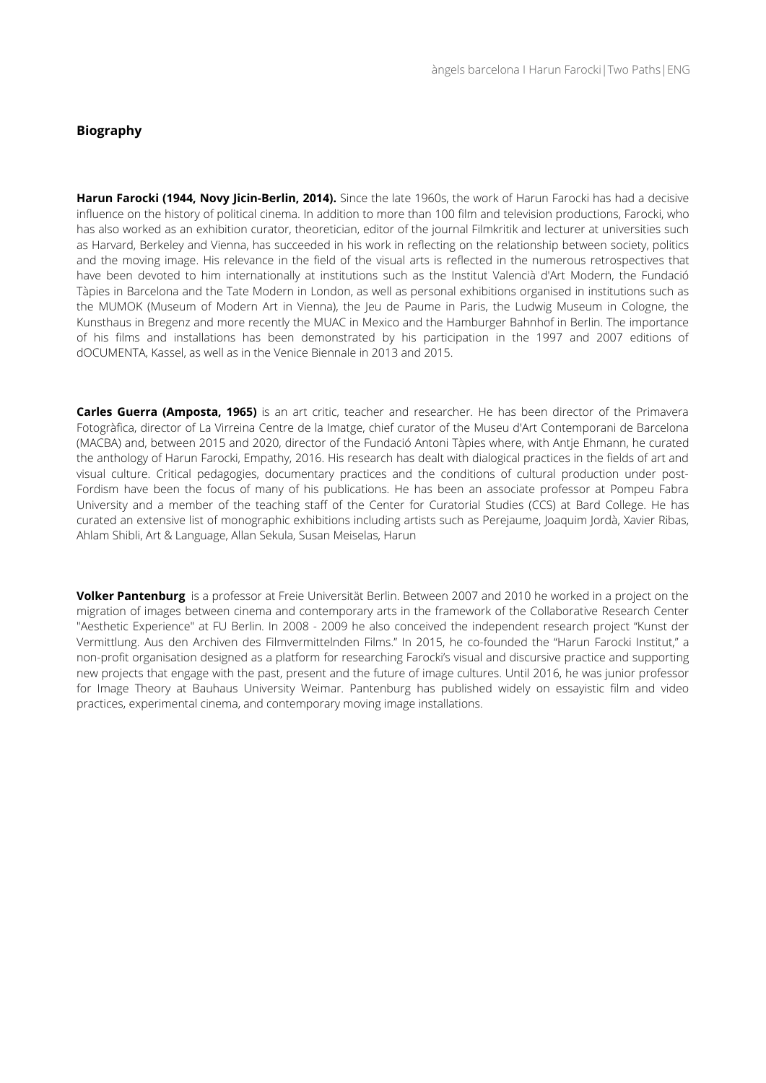## **Biography**

**Harun Farocki (1944, Novy Jicin-Berlin, 2014).** Since the late 1960s, the work of Harun Farocki has had a decisive influence on the history of political cinema. In addition to more than 100 film and television productions, Farocki, who has also worked as an exhibition curator, theoretician, editor of the journal Filmkritik and lecturer at universities such as Harvard, Berkeley and Vienna, has succeeded in his work in reflecting on the relationship between society, politics and the moving image. His relevance in the field of the visual arts is reflected in the numerous retrospectives that have been devoted to him internationally at institutions such as the Institut Valencià d'Art Modern, the Fundació Tàpies in Barcelona and the Tate Modern in London, as well as personal exhibitions organised in institutions such as the MUMOK (Museum of Modern Art in Vienna), the Jeu de Paume in Paris, the Ludwig Museum in Cologne, the Kunsthaus in Bregenz and more recently the MUAC in Mexico and the Hamburger Bahnhof in Berlin. The importance of his films and installations has been demonstrated by his participation in the 1997 and 2007 editions of dOCUMENTA, Kassel, as well as in the Venice Biennale in 2013 and 2015.

**Carles Guerra (Amposta, 1965)** is an art critic, teacher and researcher. He has been director of the Primavera Fotogràfica, director of La Virreina Centre de la Imatge, chief curator of the Museu d'Art Contemporani de Barcelona (MACBA) and, between 2015 and 2020, director of the Fundació Antoni Tàpies where, with Antje Ehmann, he curated the anthology of Harun Farocki, Empathy, 2016. His research has dealt with dialogical practices in the fields of art and visual culture. Critical pedagogies, documentary practices and the conditions of cultural production under post-Fordism have been the focus of many of his publications. He has been an associate professor at Pompeu Fabra University and a member of the teaching staff of the Center for Curatorial Studies (CCS) at Bard College. He has curated an extensive list of monographic exhibitions including artists such as Perejaume, Joaquim Jordà, Xavier Ribas, Ahlam Shibli, Art & Language, Allan Sekula, Susan Meiselas, Harun

**Volker Pantenburg** is a professor at Freie Universität Berlin. Between 2007 and 2010 he worked in a project on the migration of images between cinema and contemporary arts in the framework of the Collaborative Research Center "Aesthetic Experience" at FU Berlin. In 2008 - 2009 he also conceived the independent research project "Kunst der Vermittlung. Aus den Archiven des Filmvermittelnden Films." In 2015, he co-founded the "Harun Farocki Institut," a non-profit organisation designed as a platform for researching Farocki's visual and discursive practice and supporting new projects that engage with the past, present and the future of image cultures. Until 2016, he was junior professor for Image Theory at Bauhaus University Weimar. Pantenburg has published widely on essayistic film and video practices, experimental cinema, and contemporary moving image installations.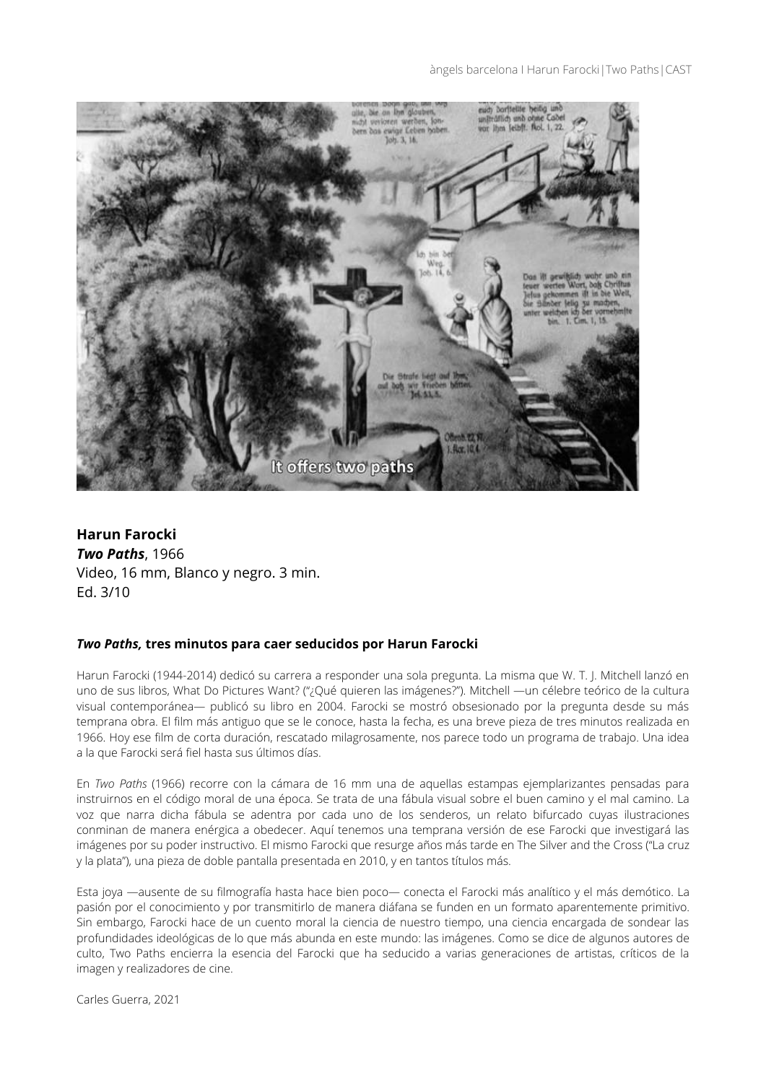#### àngels barcelona I Harun Farocki | Two Paths | CAST



**Harun Farocki** *Two Paths*, 1966 Video, 16 mm, Blanco y negro. 3 min. Ed. 3/10

### *Two Paths,* **tres minutos para caer seducidos por Harun Farocki**

Harun Farocki (1944-2014) dedicó su carrera a responder una sola pregunta. La misma que W. T. J. Mitchell lanzó en uno de sus libros, What Do Pictures Want? ("¿Qué quieren las imágenes?"). Mitchell —un célebre teórico de la cultura visual contemporánea— publicó su libro en 2004. Farocki se mostró obsesionado por la pregunta desde su más temprana obra. El film más antiguo que se le conoce, hasta la fecha, es una breve pieza de tres minutos realizada en 1966. Hoy ese film de corta duración, rescatado milagrosamente, nos parece todo un programa de trabajo. Una idea a la que Farocki será fiel hasta sus últimos días.

En *Two Paths* (1966) recorre con la cámara de 16 mm una de aquellas estampas ejemplarizantes pensadas para instruirnos en el código moral de una época. Se trata de una fábula visual sobre el buen camino y el mal camino. La voz que narra dicha fábula se adentra por cada uno de los senderos, un relato bifurcado cuyas ilustraciones conminan de manera enérgica a obedecer. Aquí tenemos una temprana versión de ese Farocki que investigará las imágenes por su poder instructivo. El mismo Farocki que resurge años más tarde en The Silver and the Cross ("La cruz y la plata"), una pieza de doble pantalla presentada en 2010, y en tantos títulos más.

Esta joya —ausente de su filmografía hasta hace bien poco— conecta el Farocki más analítico y el más demótico. La pasión por el conocimiento y por transmitirlo de manera diáfana se funden en un formato aparentemente primitivo. Sin embargo, Farocki hace de un cuento moral la ciencia de nuestro tiempo, una ciencia encargada de sondear las profundidades ideológicas de lo que más abunda en este mundo: las imágenes. Como se dice de algunos autores de culto, Two Paths encierra la esencia del Farocki que ha seducido a varias generaciones de artistas, críticos de la imagen y realizadores de cine.

Carles Guerra, 2021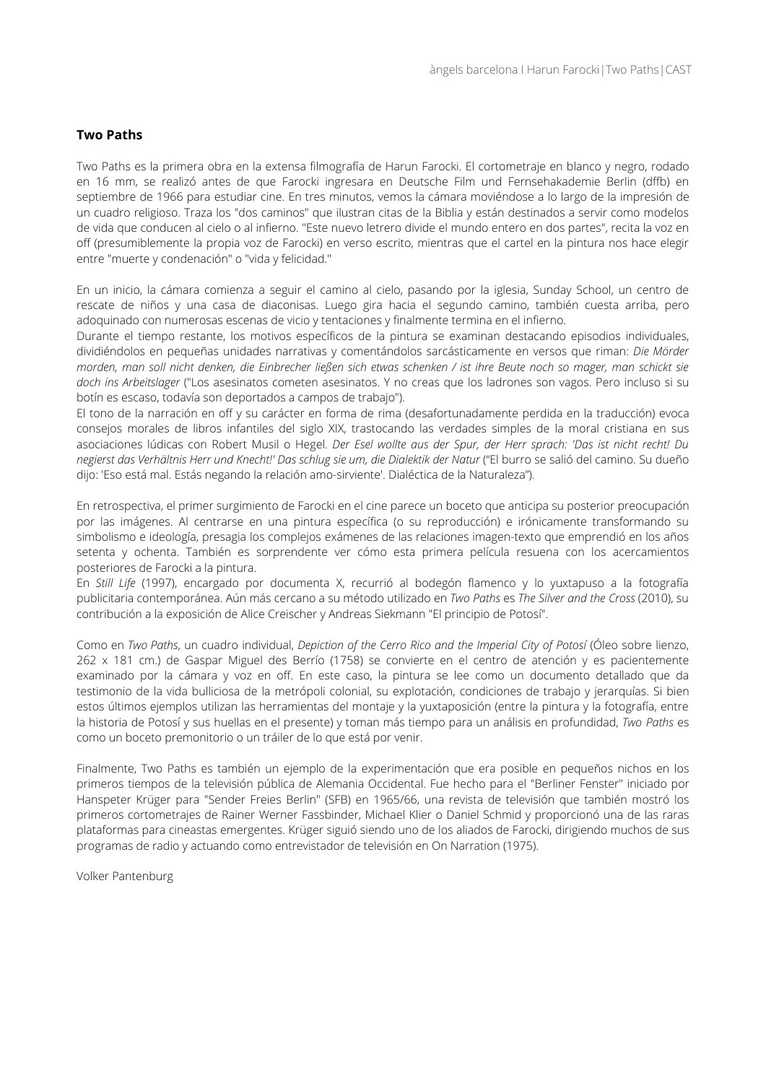## **Two Paths**

Two Paths es la primera obra en la extensa filmografía de Harun Farocki. El cortometraje en blanco y negro, rodado en 16 mm, se realizó antes de que Farocki ingresara en Deutsche Film und Fernsehakademie Berlin (dffb) en septiembre de 1966 para estudiar cine. En tres minutos, vemos la cámara moviéndose a lo largo de la impresión de un cuadro religioso. Traza los "dos caminos" que ilustran citas de la Biblia y están destinados a servir como modelos de vida que conducen al cielo o al infierno. "Este nuevo letrero divide el mundo entero en dos partes", recita la voz en off (presumiblemente la propia voz de Farocki) en verso escrito, mientras que el cartel en la pintura nos hace elegir entre "muerte y condenación" o "vida y felicidad."

En un inicio, la cámara comienza a seguir el camino al cielo, pasando por la iglesia, Sunday School, un centro de rescate de niños y una casa de diaconisas. Luego gira hacia el segundo camino, también cuesta arriba, pero adoquinado con numerosas escenas de vicio y tentaciones y finalmente termina en el infierno.

Durante el tiempo restante, los motivos específicos de la pintura se examinan destacando episodios individuales, dividiéndolos en pequeñas unidades narrativas y comentándolos sarcásticamente en versos que riman: *Die Mörder morden, man soll nicht denken, die Einbrecher ließen sich etwas schenken / ist ihre Beute noch so mager, man schickt sie doch ins Arbeitslager* ("Los asesinatos cometen asesinatos. Y no creas que los ladrones son vagos. Pero incluso si su botín es escaso, todavía son deportados a campos de trabajo").

El tono de la narración en off y su carácter en forma de rima (desafortunadamente perdida en la traducción) evoca consejos morales de libros infantiles del siglo XIX, trastocando las verdades simples de la moral cristiana en sus asociaciones lúdicas con Robert Musil o Hegel. *Der Esel wollte aus der Spur, der Herr sprach: 'Das ist nicht recht! Du* negierst das Verhältnis Herr und Knecht!' Das schlug sie um, die Dialektik der Natur ("El burro se salió del camino. Su dueño dijo: 'Eso está mal. Estás negando la relación amo-sirviente'. Dialéctica de la Naturaleza").

En retrospectiva, el primer surgimiento de Farocki en el cine parece un boceto que anticipa su posterior preocupación por las imágenes. Al centrarse en una pintura específica (o su reproducción) e irónicamente transformando su simbolismo e ideología, presagia los complejos exámenes de las relaciones imagen-texto que emprendió en los años setenta y ochenta. También es sorprendente ver cómo esta primera película resuena con los acercamientos posteriores de Farocki a la pintura.

En *Still Life* (1997), encargado por documenta X, recurrió al bodegón flamenco y lo yuxtapuso a la fotografía publicitaria contemporánea. Aún más cercano a su método utilizado en *Two Paths* es *The Silver and the Cross* (2010), su contribución a la exposición de Alice Creischer y Andreas Siekmann "El principio de Potosí".

Como en *Two Paths*, un cuadro individual, *Depiction of the Cerro Rico and the Imperial City of Potosí* (Óleo sobre lienzo, 262 x 181 cm.) de Gaspar Miguel des Berrío (1758) se convierte en el centro de atención y es pacientemente examinado por la cámara y voz en off. En este caso, la pintura se lee como un documento detallado que da testimonio de la vida bulliciosa de la metrópoli colonial, su explotación, condiciones de trabajo y jerarquías. Si bien estos últimos ejemplos utilizan las herramientas del montaje y la yuxtaposición (entre la pintura y la fotografía, entre la historia de Potosí y sus huellas en el presente) y toman más tiempo para un análisis en profundidad, *Two Paths* es como un boceto premonitorio o un tráiler de lo que está por venir.

Finalmente, Two Paths es también un ejemplo de la experimentación que era posible en pequeños nichos en los primeros tiempos de la televisión pública de Alemania Occidental. Fue hecho para el "Berliner Fenster" iniciado por Hanspeter Krüger para "Sender Freies Berlin" (SFB) en 1965/66, una revista de televisión que también mostró los primeros cortometrajes de Rainer Werner Fassbinder, Michael Klier o Daniel Schmid y proporcionó una de las raras plataformas para cineastas emergentes. Krüger siguió siendo uno de los aliados de Farocki, dirigiendo muchos de sus programas de radio y actuando como entrevistador de televisión en On Narration (1975).

Volker Pantenburg